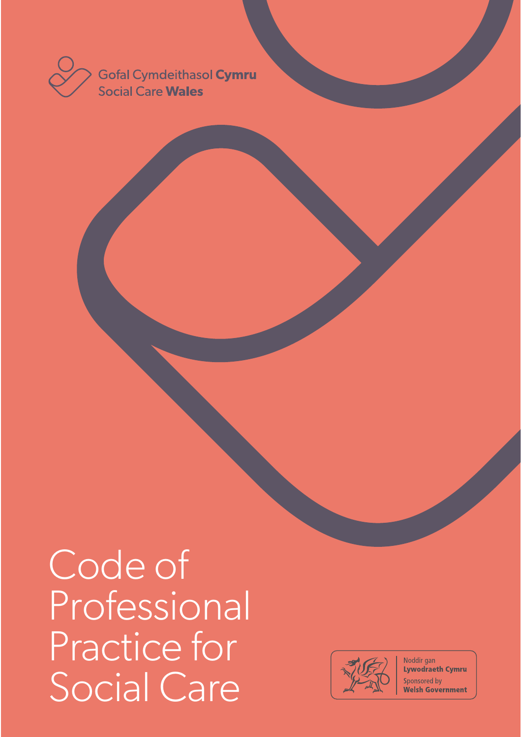

Code of Professional Practice for Social Care



Noddir gan **Lywodraeth Cymru** Sponsored by **Welsh Government**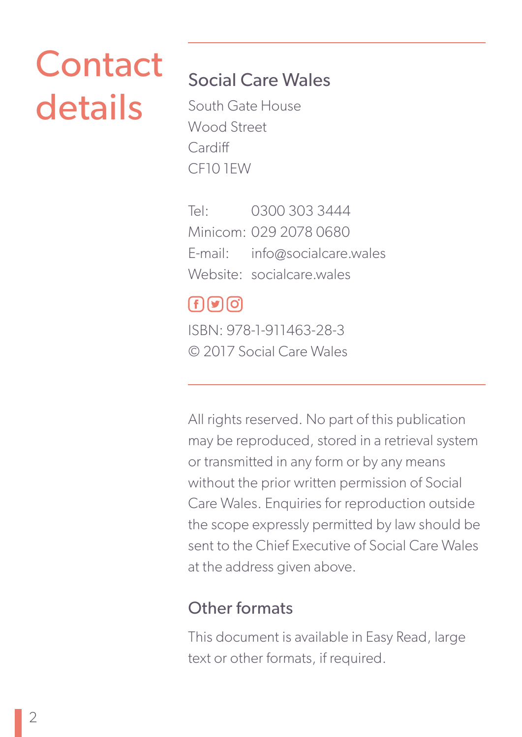# Contact details

### Social Care Wales

South Gate House Wood Street **Cardiff** CF10 1EW

Tel: 0300 303 3444 Minicom: 029 2078 0680 E-mail: info@socialcare.wales Website: socialcare wales

### $f(\Omega)$

ISBN: 978-1-911463-28-3 © 2017 Social Care Wales

All rights reserved. No part of this publication may be reproduced, stored in a retrieval system or transmitted in any form or by any means without the prior written permission of Social Care Wales. Enquiries for reproduction outside the scope expressly permitted by law should be sent to the Chief Executive of Social Care Wales at the address given above.

### Other formats

This document is available in Easy Read, large text or other formats, if required.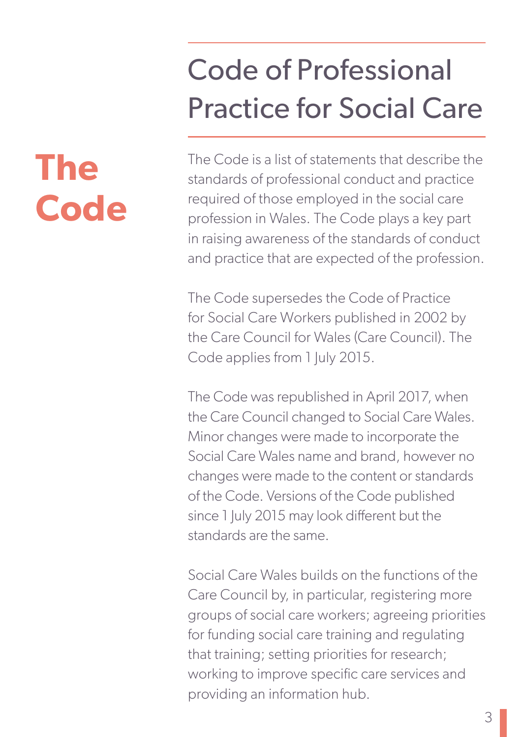## Code of Professional Practice for Social Care

### The Code is a list of statements that describe the standards of professional conduct and practice required of those employed in the social care profession in Wales. The Code plays a key part in raising awareness of the standards of conduct and practice that are expected of the profession.

The Code supersedes the Code of Practice for Social Care Workers published in 2002 by the Care Council for Wales (Care Council). The Code applies from 1 July 2015.

The Code was republished in April 2017, when the Care Council changed to Social Care Wales. Minor changes were made to incorporate the Social Care Wales name and brand, however no changes were made to the content or standards of the Code. Versions of the Code published since 1 July 2015 may look different but the standards are the same.

Social Care Wales builds on the functions of the Care Council by, in particular, registering more groups of social care workers; agreeing priorities for funding social care training and regulating that training; setting priorities for research; working to improve specific care services and providing an information hub.

# **The Code**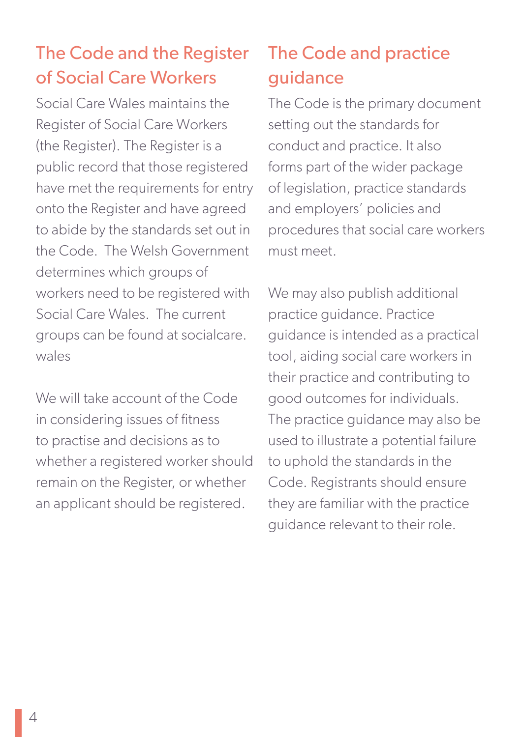### The Code and the Register of Social Care Workers

Social Care Wales maintains the Register of Social Care Workers (the Register). The Register is a public record that those registered have met the requirements for entry onto the Register and have agreed to abide by the standards set out in the Code. The Welsh Government determines which groups of workers need to be registered with Social Care Wales. The current groups can be found at socialcare. wales

We will take account of the Code in considering issues of fitness to practise and decisions as to whether a registered worker should remain on the Register, or whether an applicant should be registered.

### The Code and practice guidance

The Code is the primary document setting out the standards for conduct and practice. It also forms part of the wider package of legislation, practice standards and employers' policies and procedures that social care workers must meet.

We may also publish additional practice guidance. Practice guidance is intended as a practical tool, aiding social care workers in their practice and contributing to good outcomes for individuals. The practice guidance may also be used to illustrate a potential failure to uphold the standards in the Code. Registrants should ensure they are familiar with the practice guidance relevant to their role.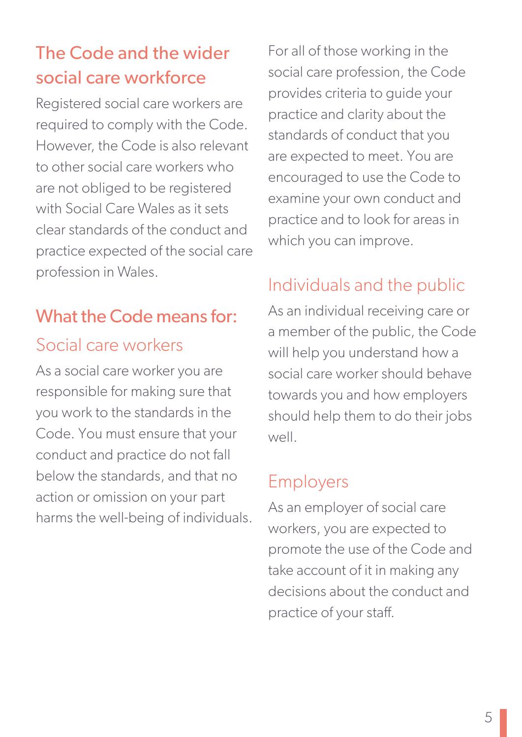### The Code and the wider social care workforce

Registered social care workers are required to comply with the Code. However, the Code is also relevant to other social care workers who are not obliged to be registered with Social Care Wales as it sets clear standards of the conduct and practice expected of the social care profession in Wales.

## What the Code means for:

### Social care workers

As a social care worker you are responsible for making sure that you work to the standards in the Code. You must ensure that your conduct and practice do not fall below the standards, and that no action or omission on your part harms the well-being of individuals. For all of those working in the social care profession, the Code provides criteria to guide your practice and clarity about the standards of conduct that you are expected to meet. You are encouraged to use the Code to examine your own conduct and practice and to look for areas in which you can improve.

### Individuals and the public

As an individual receiving care or a member of the public, the Code will help you understand how a social care worker should behave towards you and how employers should help them to do their jobs well.

### Employers

As an employer of social care workers, you are expected to promote the use of the Code and take account of it in making any decisions about the conduct and practice of your staff.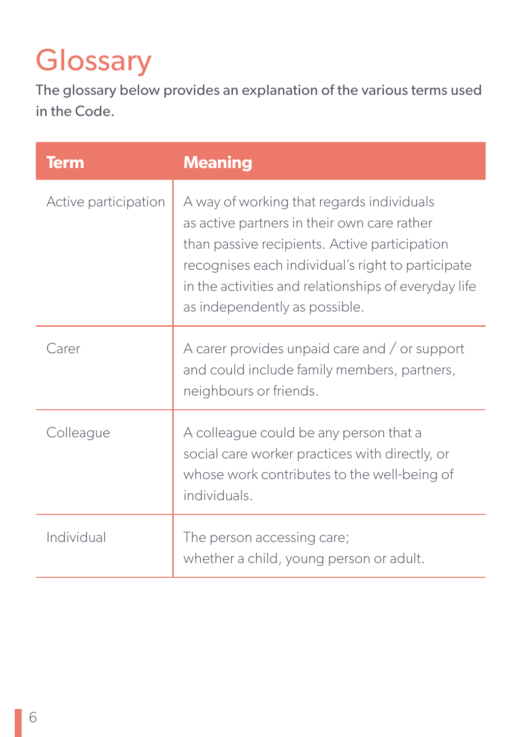## **Glossary**

The glossary below provides an explanation of the various terms used in the Code.

| <b>Term</b>          | <b>Meaning</b>                                                                                                                                                                                                                                                                          |
|----------------------|-----------------------------------------------------------------------------------------------------------------------------------------------------------------------------------------------------------------------------------------------------------------------------------------|
| Active participation | A way of working that regards individuals<br>as active partners in their own care rather<br>than passive recipients. Active participation<br>recognises each individual's right to participate<br>in the activities and relationships of everyday life<br>as independently as possible. |
| Carer                | A carer provides unpaid care and / or support<br>and could include family members, partners,<br>neighbours or friends.                                                                                                                                                                  |
| Colleague            | A colleague could be any person that a<br>social care worker practices with directly, or<br>whose work contributes to the well-being of<br>individuals.                                                                                                                                 |
| Individual           | The person accessing care;<br>whether a child, young person or adult.                                                                                                                                                                                                                   |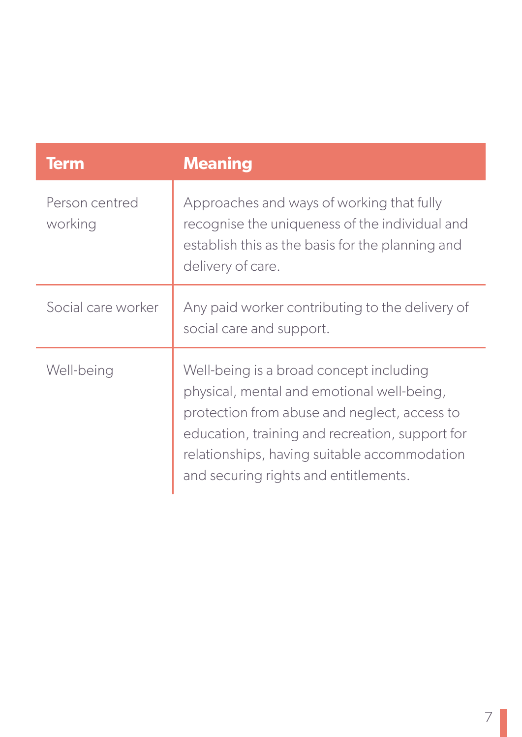| <b>Term</b>               | <b>Meaning</b>                                                                                                                                                                                                                                                                    |
|---------------------------|-----------------------------------------------------------------------------------------------------------------------------------------------------------------------------------------------------------------------------------------------------------------------------------|
| Person centred<br>working | Approaches and ways of working that fully<br>recognise the uniqueness of the individual and<br>establish this as the basis for the planning and<br>delivery of care.                                                                                                              |
| Social care worker        | Any paid worker contributing to the delivery of<br>social care and support.                                                                                                                                                                                                       |
| Well-being                | Well-being is a broad concept including<br>physical, mental and emotional well-being,<br>protection from abuse and neglect, access to<br>education, training and recreation, support for<br>relationships, having suitable accommodation<br>and securing rights and entitlements. |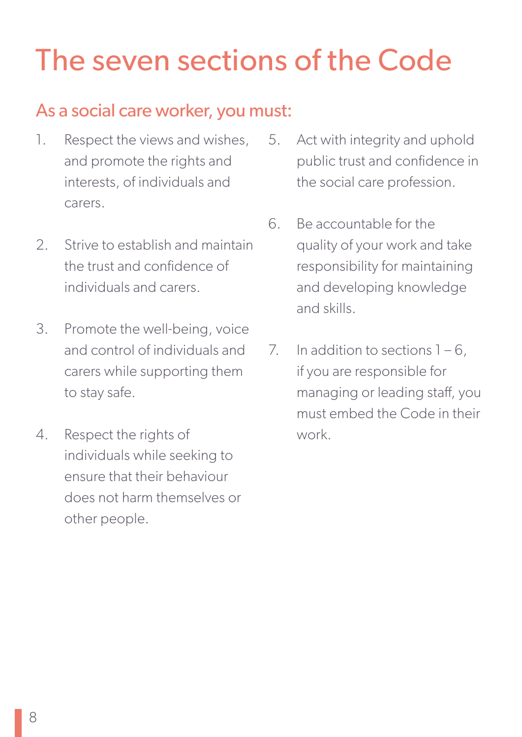## The seven sections of the Code

### As a social care worker, you must:

- 1. Respect the views and wishes, and promote the rights and interests, of individuals and carers.
- 2. Strive to establish and maintain the trust and confidence of individuals and carers.
- 3. Promote the well-being, voice and control of individuals and carers while supporting them to stay safe.
- 4. Respect the rights of individuals while seeking to ensure that their behaviour does not harm themselves or other people.
- 5. Act with integrity and uphold public trust and confidence in the social care profession.
- 6. Be accountable for the quality of your work and take responsibility for maintaining and developing knowledge and skills.
- 7. In addition to sections  $1 6$ , if you are responsible for managing or leading staff, you must embed the Code in their work.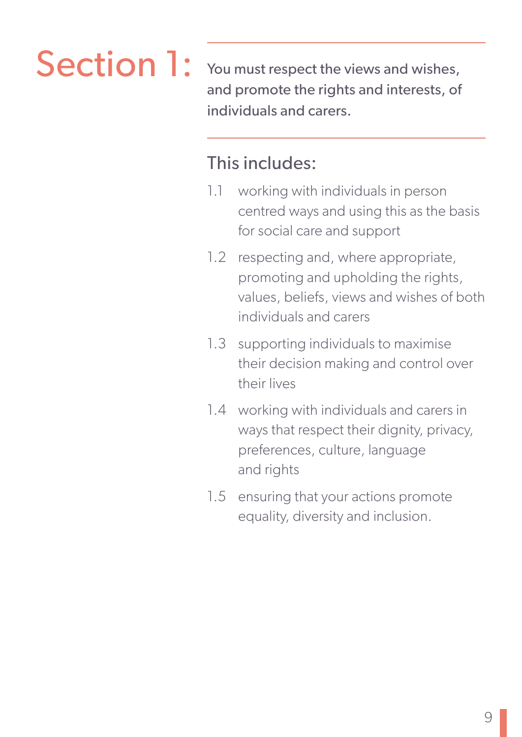Section 1: You must respect the views and wishes, and promote the rights and interests, of individuals and carers.

- 1.1 working with individuals in person centred ways and using this as the basis for social care and support
- 1.2 respecting and, where appropriate, promoting and upholding the rights, values, beliefs, views and wishes of both individuals and carers
- 1.3 supporting individuals to maximise their decision making and control over their lives
- 1.4 working with individuals and carers in ways that respect their dignity, privacy, preferences, culture, language and rights
- 1.5 ensuring that your actions promote equality, diversity and inclusion.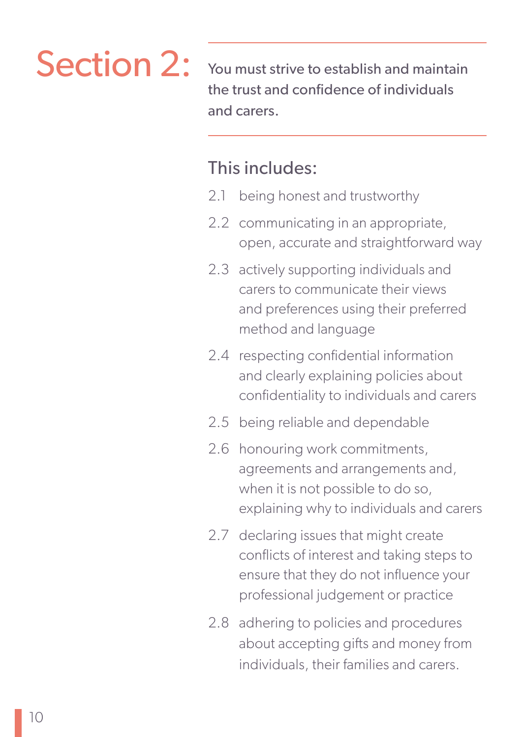Section 2: You must strive to establish and maintain the trust and confidence of individuals and carers.

- 2.1 being honest and trustworthy
- 2.2 communicating in an appropriate, open, accurate and straightforward way
- 2.3 actively supporting individuals and carers to communicate their views and preferences using their preferred method and language
- 2.4 respecting confidential information and clearly explaining policies about confidentiality to individuals and carers
- 2.5 being reliable and dependable
- 2.6 honouring work commitments, agreements and arrangements and, when it is not possible to do so, explaining why to individuals and carers
- 2.7 declaring issues that might create conflicts of interest and taking steps to ensure that they do not influence your professional judgement or practice
- 2.8 adhering to policies and procedures about accepting gifts and money from individuals, their families and carers.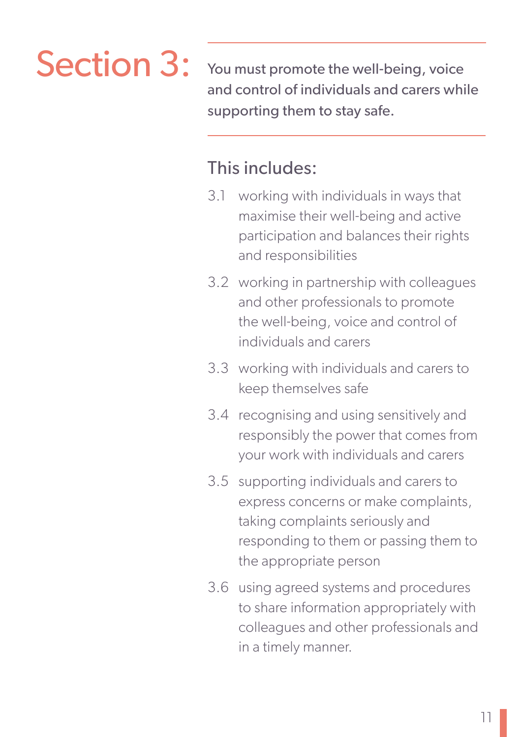

Section 3: You must promote the well-being, voice and control of individuals and carers while supporting them to stay safe.

- 3.1 working with individuals in ways that maximise their well-being and active participation and balances their rights and responsibilities
- 3.2 working in partnership with colleagues and other professionals to promote the well-being, voice and control of individuals and carers
- 3.3 working with individuals and carers to keep themselves safe
- 3.4 recognising and using sensitively and responsibly the power that comes from your work with individuals and carers
- 3.5 supporting individuals and carers to express concerns or make complaints, taking complaints seriously and responding to them or passing them to the appropriate person
- 3.6 using agreed systems and procedures to share information appropriately with colleagues and other professionals and in a timely manner.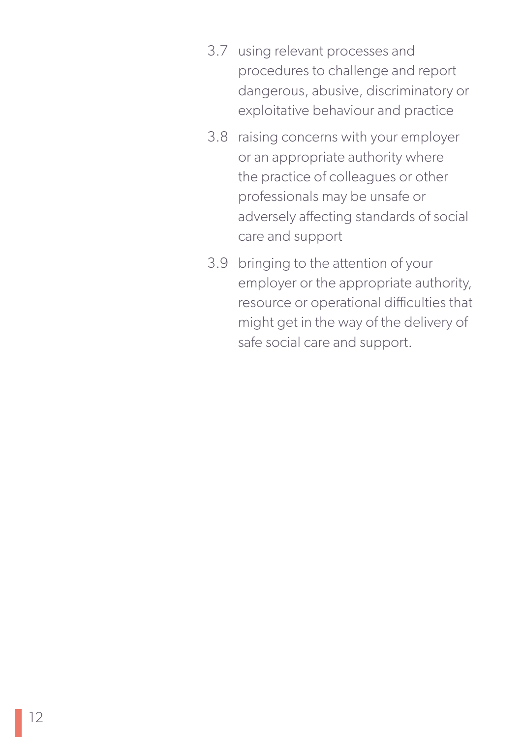- 3.7 using relevant processes and procedures to challenge and report dangerous, abusive, discriminatory or exploitative behaviour and practice
- 3.8 raising concerns with your employer or an appropriate authority where the practice of colleagues or other professionals may be unsafe or adversely affecting standards of social care and support
- 3.9 bringing to the attention of your employer or the appropriate authority, resource or operational difficulties that might get in the way of the delivery of safe social care and support.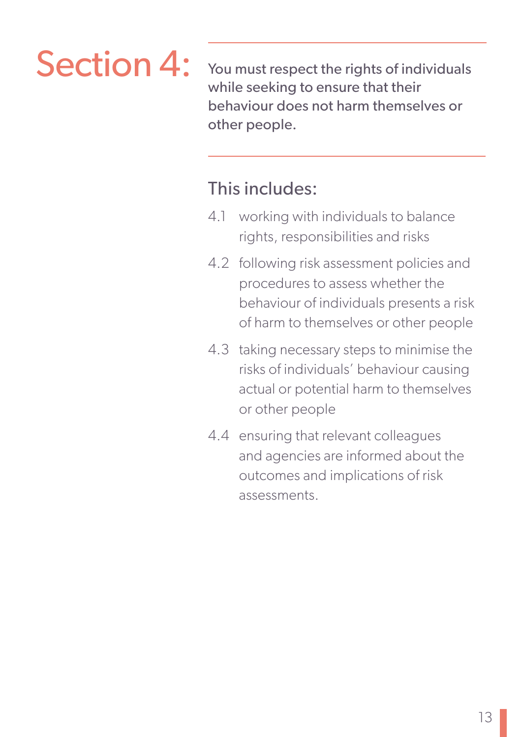Section 4: You must respect the rights of individuals while seeking to ensure that their behaviour does not harm themselves or other people.

- 4.1 working with individuals to balance rights, responsibilities and risks
- 4.2 following risk assessment policies and procedures to assess whether the behaviour of individuals presents a risk of harm to themselves or other people
- 4.3 taking necessary steps to minimise the risks of individuals' behaviour causing actual or potential harm to themselves or other people
- 4.4 ensuring that relevant colleagues and agencies are informed about the outcomes and implications of risk assessments.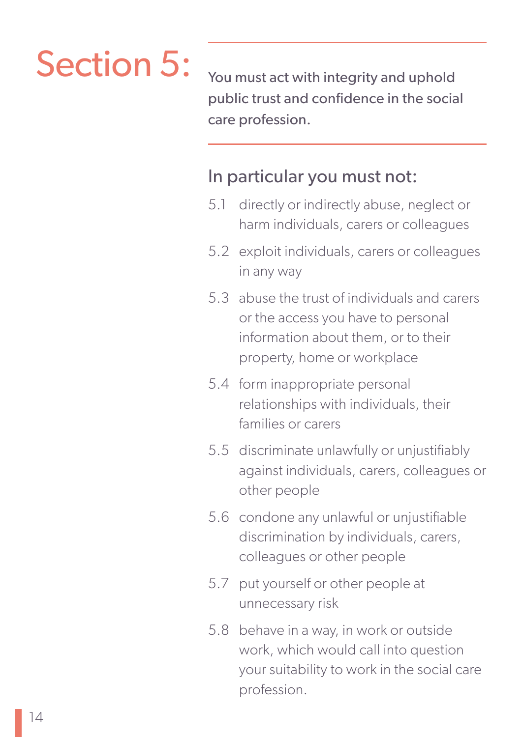# Section 5: You must act with integrity and uphold

public trust and confidence in the social care profession.

### In particular you must not:

- 5.1 directly or indirectly abuse, neglect or harm individuals, carers or colleagues
- 5.2 exploit individuals, carers or colleagues in any way
- 5.3 abuse the trust of individuals and carers or the access you have to personal information about them, or to their property, home or workplace
- 5.4 form inappropriate personal relationships with individuals, their families or carers
- 5.5 discriminate unlawfully or unjustifiably against individuals, carers, colleagues or other people
- 5.6 condone any unlawful or unjustifiable discrimination by individuals, carers, colleagues or other people
- 5.7 put yourself or other people at unnecessary risk
- 5.8 behave in a way, in work or outside work, which would call into question your suitability to work in the social care profession.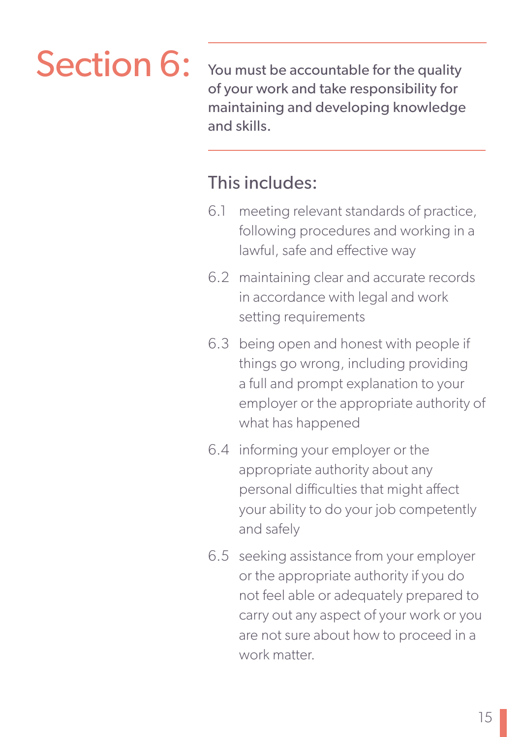# Section 6: You must be accountable for the quality

of your work and take responsibility for maintaining and developing knowledge and skills.

- 6.1 meeting relevant standards of practice, following procedures and working in a lawful, safe and effective way
- 6.2 maintaining clear and accurate records in accordance with legal and work setting requirements
- 6.3 being open and honest with people if things go wrong, including providing a full and prompt explanation to your employer or the appropriate authority of what has happened
- 6.4 informing your employer or the appropriate authority about any personal difficulties that might affect your ability to do your job competently and safely
- 6.5 seeking assistance from your employer or the appropriate authority if you do not feel able or adequately prepared to carry out any aspect of your work or you are not sure about how to proceed in a work matter.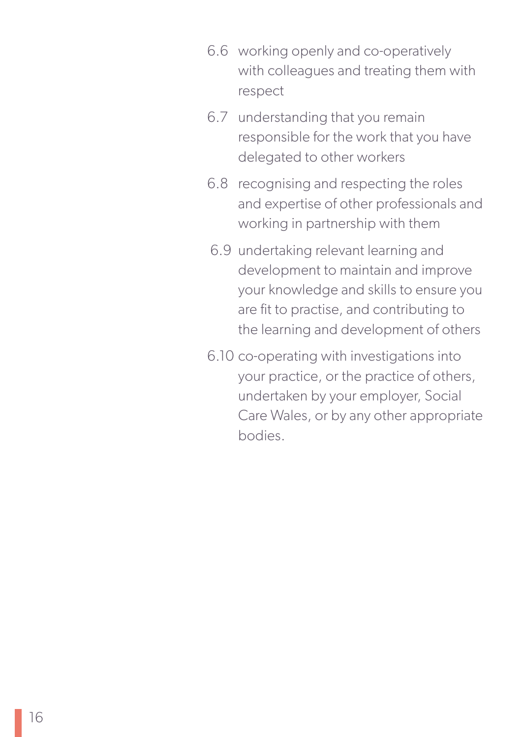- 6.6 working openly and co-operatively with colleagues and treating them with respect
- 6.7 understanding that you remain responsible for the work that you have delegated to other workers
- 6.8 recognising and respecting the roles and expertise of other professionals and working in partnership with them
- 6.9 undertaking relevant learning and development to maintain and improve your knowledge and skills to ensure you are fit to practise, and contributing to the learning and development of others
- 6.10 co-operating with investigations into your practice, or the practice of others, undertaken by your employer, Social Care Wales, or by any other appropriate bodies.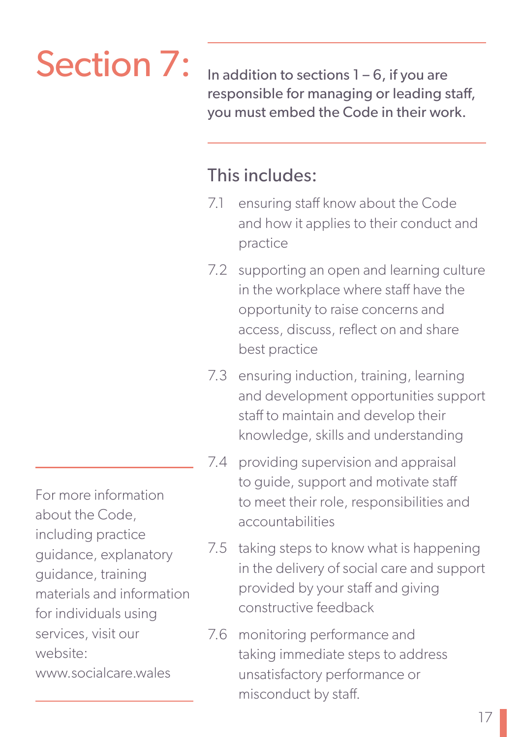# Section 7:

In addition to sections  $1 - 6$ , if you are responsible for managing or leading staff, you must embed the Code in their work.

### This includes:

- 7.1 ensuring staff know about the Code and how it applies to their conduct and practice
- 7.2 supporting an open and learning culture in the workplace where staff have the opportunity to raise concerns and access, discuss, reflect on and share best practice
- 7.3 ensuring induction, training, learning and development opportunities support staff to maintain and develop their knowledge, skills and understanding
- 7.4 providing supervision and appraisal to guide, support and motivate staff to meet their role, responsibilities and accountabilities
- 7.5 taking steps to know what is happening in the delivery of social care and support provided by your staff and giving constructive feedback
- 7.6 monitoring performance and taking immediate steps to address unsatisfactory performance or misconduct by staff.

For more information about the Code, including practice guidance, explanatory guidance, training materials and information for individuals using services, visit our website: www.socialcare.wales